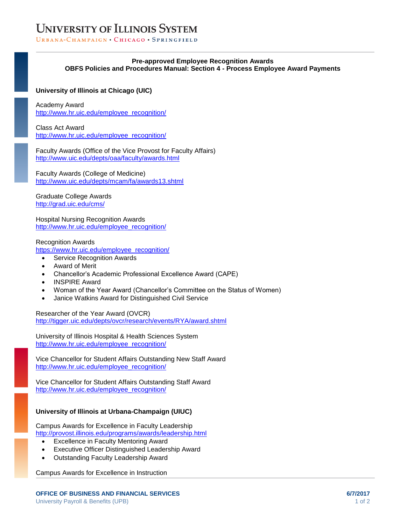# **UNIVERSITY OF ILLINOIS SYSTEM**

URBANA-CHAMPAIGN • CHICAGO • SPRINGFIELD

### **Pre-approved Employee Recognition Awards OBFS Policies and Procedures Manual: Section 4 - Process Employee Award Payments**

### **University of Illinois at Chicago (UIC)**

Academy Award [http://www.hr.uic.edu/employee\\_recognition/](http://www.hr.uic.edu/employee_recognition/)

Class Act Award [http://www.hr.uic.edu/employee\\_recognition/](http://www.hr.uic.edu/employee_recognition/)

Faculty Awards (Office of the Vice Provost for Faculty Affairs) <http://www.uic.edu/depts/oaa/faculty/awards.html>

Faculty Awards (College of Medicine) <http://www.uic.edu/depts/mcam/fa/awards13.shtml>

Graduate College Awards <http://grad.uic.edu/cms/>

Hospital Nursing Recognition Awards [http://www.hr.uic.edu/employee\\_recognition/](http://www.hr.uic.edu/employee_recognition/)

Recognition Awards [https://www.hr.uic.edu/employee\\_recognition/](https://www.hr.uic.edu/employee_recognition/)

- Service Recognition Awards
- Award of Merit
- Chancellor's Academic Professional Excellence Award (CAPE)
- INSPIRE Award
- Woman of the Year Award (Chancellor's Committee on the Status of Women)
- Janice Watkins Award for Distinguished Civil Service

Researcher of the Year Award (OVCR) <http://tigger.uic.edu/depts/ovcr/research/events/RYA/award.shtml>

University of Illinois Hospital & Health Sciences System [http://www.hr.uic.edu/employee\\_recognition/](http://www.hr.uic.edu/employee_recognition/)

Vice Chancellor for Student Affairs Outstanding New Staff Award [http://www.hr.uic.edu/employee\\_recognition/](http://www.hr.uic.edu/employee_recognition/)

Vice Chancellor for Student Affairs Outstanding Staff Award [http://www.hr.uic.edu/employee\\_recognition/](http://www.hr.uic.edu/employee_recognition/)

## **University of Illinois at Urbana-Champaign (UIUC)**

Campus Awards for Excellence in Faculty Leadership <http://provost.illinois.edu/programs/awards/leadership.html>

- Excellence in Faculty Mentoring Award
- Executive Officer Distinguished Leadership Award
- Outstanding Faculty Leadership Award

Campus Awards for Excellence in Instruction